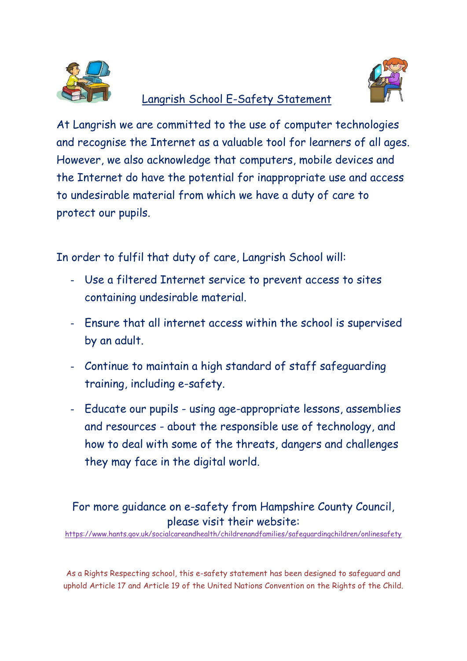

## Langrish School E-Safety Statement



At Langrish we are committed to the use of computer technologies and recognise the Internet as a valuable tool for learners of all ages. However, we also acknowledge that computers, mobile devices and the Internet do have the potential for inappropriate use and access to undesirable material from which we have a duty of care to protect our pupils.

In order to fulfil that duty of care, Langrish School will:

- Use a filtered Internet service to prevent access to sites containing undesirable material.
- Ensure that all internet access within the school is supervised by an adult.
- Continue to maintain a high standard of staff safeguarding training, including e-safety.
- Educate our pupils using age-appropriate lessons, assemblies and resources - about the responsible use of technology, and how to deal with some of the threats, dangers and challenges they may face in the digital world.

## For more guidance on e-safety from Hampshire County Council, please visit their website:

<https://www.hants.gov.uk/socialcareandhealth/childrenandfamilies/safeguardingchildren/onlinesafety>

As a Rights Respecting school, this e-safety statement has been designed to safeguard and uphold Article 17 and Article 19 of the United Nations Convention on the Rights of the Child.